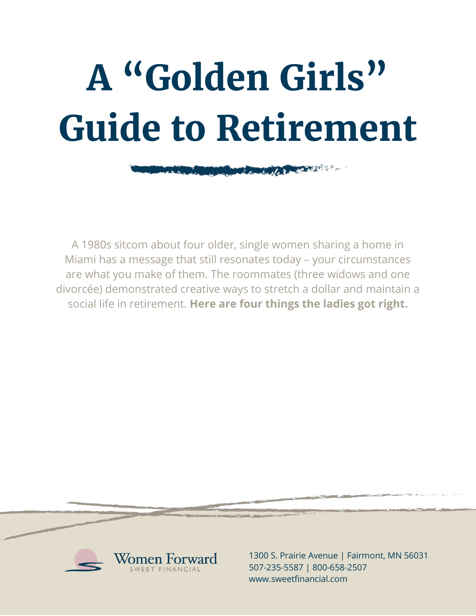# **A "Golden Girls" Guide to Retirement**

**COMMON DIRECT** 

**CONTRACTOR** 

A 1980s sitcom about four older, single women sharing a home in Miami has a message that still resonates today – your circumstances are what you make of them. The roommates (three widows and one divorcée) demonstrated creative ways to stretch a dollar and maintain a social life in retirement. **Here are four things the ladies got right.**



1300 S. Prairie Avenue | Fairmont, MN 56031 507-235-5587 | 800-658-2507 www.sweetfinancial.com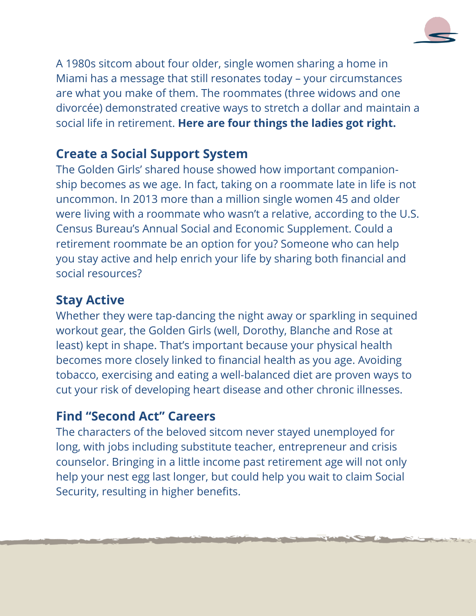

A 1980s sitcom about four older, single women sharing a home in Miami has a message that still resonates today – your circumstances are what you make of them. The roommates (three widows and one divorcée) demonstrated creative ways to stretch a dollar and maintain a social life in retirement. **Here are four things the ladies got right.**

# **Create a Social Support System**

The Golden Girls' shared house showed how important companionship becomes as we age. In fact, taking on a roommate late in life is not uncommon. In 2013 more than a million single women 45 and older were living with a roommate who wasn't a relative, according to the U.S. Census Bureau's Annual Social and Economic Supplement. Could a retirement roommate be an option for you? Someone who can help you stay active and help enrich your life by sharing both financial and social resources?

### **Stay Active**

Whether they were tap-dancing the night away or sparkling in sequined workout gear, the Golden Girls (well, Dorothy, Blanche and Rose at least) kept in shape. That's important because your physical health becomes more closely linked to financial health as you age. Avoiding tobacco, exercising and eating a well-balanced diet are proven ways to cut your risk of developing heart disease and other chronic illnesses.

# **Find "Second Act" Careers**

The characters of the beloved sitcom never stayed unemployed for long, with jobs including substitute teacher, entrepreneur and crisis counselor. Bringing in a little income past retirement age will not only help your nest egg last longer, but could help you wait to claim Social Security, resulting in higher benefits.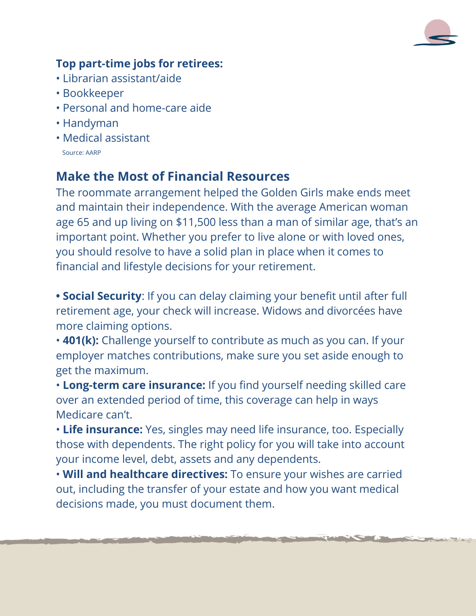

#### **Top part-time jobs for retirees:**

- Librarian assistant/aide
- Bookkeeper
- Personal and home-care aide
- Handyman
- Medical assistant Source: AARP

# **Make the Most of Financial Resources**

The roommate arrangement helped the Golden Girls make ends meet and maintain their independence. With the average American woman age 65 and up living on \$11,500 less than a man of similar age, that's an important point. Whether you prefer to live alone or with loved ones, you should resolve to have a solid plan in place when it comes to financial and lifestyle decisions for your retirement.

**• Social Security**: If you can delay claiming your benefit until after full retirement age, your check will increase. Widows and divorcées have more claiming options.

• **401(k):** Challenge yourself to contribute as much as you can. If your employer matches contributions, make sure you set aside enough to get the maximum.

• **Long-term care insurance:** If you find yourself needing skilled care over an extended period of time, this coverage can help in ways Medicare can't.

• **Life insurance:** Yes, singles may need life insurance, too. Especially those with dependents. The right policy for you will take into account your income level, debt, assets and any dependents.

• **Will and healthcare directives:** To ensure your wishes are carried out, including the transfer of your estate and how you want medical decisions made, you must document them.